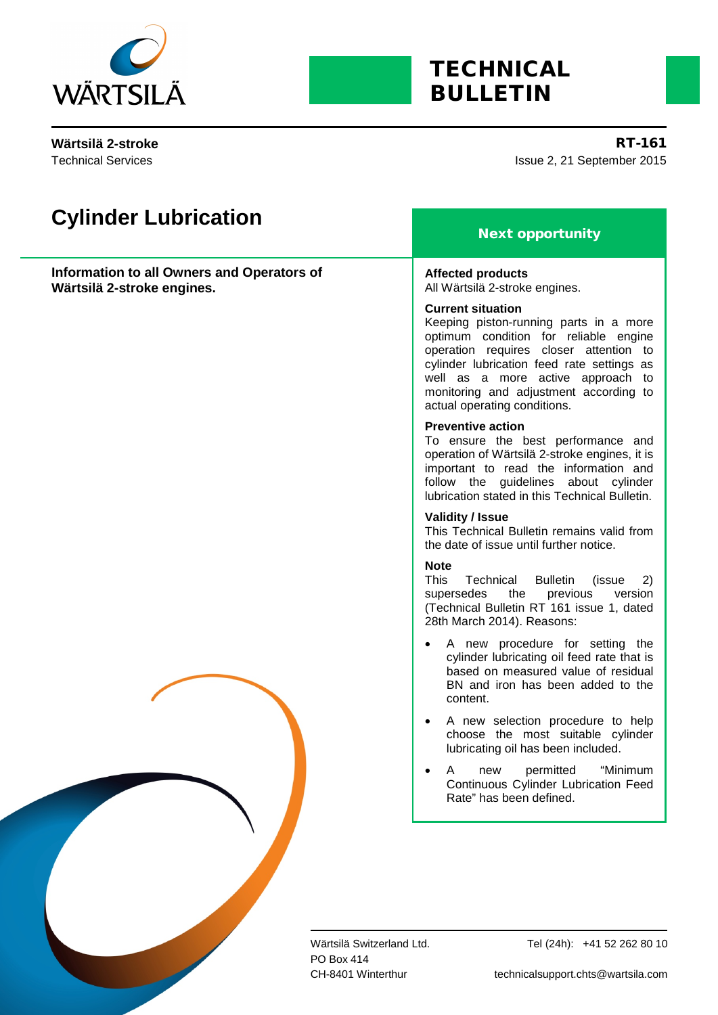

# <span id="page-0-1"></span><span id="page-0-0"></span>**TECHNICAL** BULLETIN

Technical Services

Issue 2, 21 September 2015 **Wärtsilä 2-stroke** RT-161

| <b>Cylinder Lubrication</b>                                              | <b>Next opportunity</b>                                                                                                                                                                                                                                                                                            |
|--------------------------------------------------------------------------|--------------------------------------------------------------------------------------------------------------------------------------------------------------------------------------------------------------------------------------------------------------------------------------------------------------------|
| Information to all Owners and Operators of<br>Wärtsilä 2-stroke engines. | <b>Affected products</b><br>All Wärtsilä 2-stroke engines.                                                                                                                                                                                                                                                         |
|                                                                          | <b>Current situation</b><br>Keeping piston-running parts in a more<br>optimum condition for reliable engine<br>operation requires closer attention to<br>cylinder lubrication feed rate settings as<br>well as a more active approach to<br>monitoring and adjustment according to<br>actual operating conditions. |
|                                                                          | <b>Preventive action</b><br>To ensure the best performance and<br>operation of Wärtsilä 2-stroke engines, it is<br>important to read the information and<br>follow the guidelines about cylinder<br>lubrication stated in this Technical Bulletin.                                                                 |
|                                                                          | <b>Validity / Issue</b><br>This Technical Bulletin remains valid from<br>the date of issue until further notice.                                                                                                                                                                                                   |
|                                                                          | <b>Note</b><br>This<br>Technical<br><b>Bulletin</b><br>(issue<br>2)<br>previous<br>supersedes the<br>version<br>(Technical Bulletin RT 161 issue 1, dated<br>28th March 2014). Reasons:                                                                                                                            |
|                                                                          | A new procedure for setting the<br>cylinder lubricating oil feed rate that is<br>based on measured value of residual<br>BN and iron has been added to the<br>content.                                                                                                                                              |
|                                                                          | A new selection procedure to help<br>choose the most suitable cylinder<br>lubricating oil has been included.                                                                                                                                                                                                       |
|                                                                          | permitted<br>"Minimum<br>Α<br>new<br>Continuous Cylinder Lubrication Feed<br>Rate" has been defined.                                                                                                                                                                                                               |
|                                                                          |                                                                                                                                                                                                                                                                                                                    |
|                                                                          | Wärtsilä Switzerland Ltd.<br>Tel (24h): +41 52 262 80 10<br>PO Box 414<br>technicalsupport.chts@wartsila.com<br>CH-8401 Winterthur                                                                                                                                                                                 |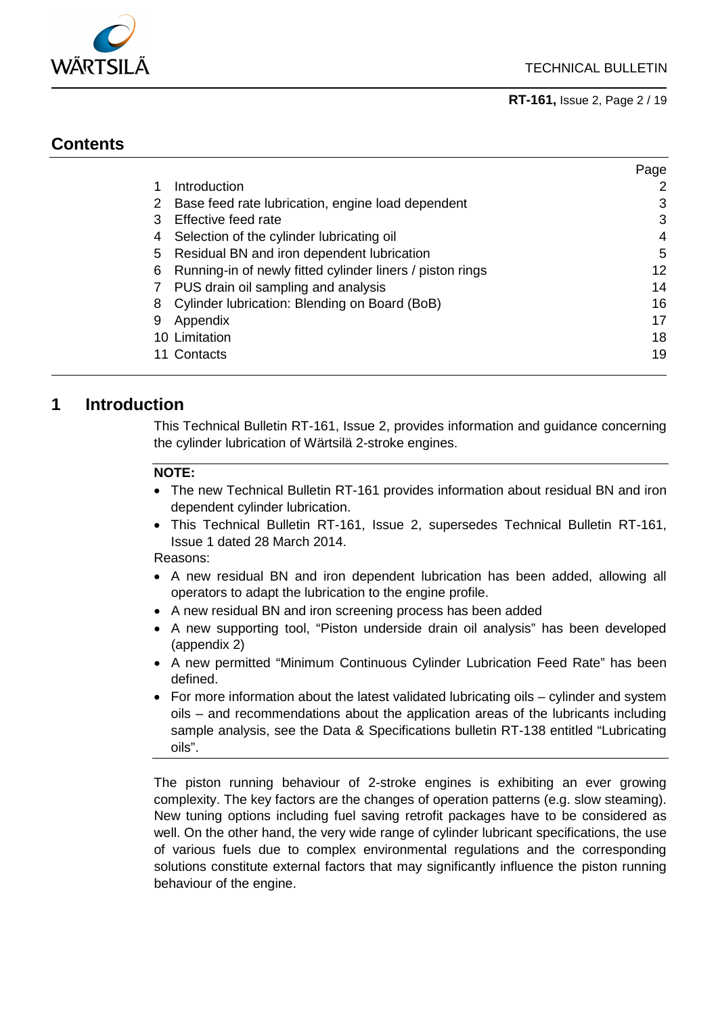

Page

**[RT-161,](#page-0-0)** [Issue](#page-0-1) 2, Page 2 / 19

## **Contents**

|   |                                                           | r ay <del>o</del> |
|---|-----------------------------------------------------------|-------------------|
|   | Introduction                                              | 2                 |
| 2 | Base feed rate lubrication, engine load dependent         | 3                 |
| 3 | Effective feed rate                                       | 3                 |
| 4 | Selection of the cylinder lubricating oil                 | 4                 |
| 5 | Residual BN and iron dependent lubrication                | 5                 |
| 6 | Running-in of newly fitted cylinder liners / piston rings | 12                |
| 7 | PUS drain oil sampling and analysis                       | 14                |
| 8 | Cylinder lubrication: Blending on Board (BoB)             | 16                |
| 9 | Appendix                                                  | 17                |
|   | 10 Limitation                                             | 18                |
|   | 11 Contacts                                               | 19                |

## <span id="page-1-0"></span>**1 Introduction**

This Technical Bulletin RT-161, Issue 2, provides information and guidance concerning the cylinder lubrication of Wärtsilä 2-stroke engines.

#### **NOTE:**

- The new Technical Bulletin RT-161 provides information about residual BN and iron dependent cylinder lubrication.
- This Technical Bulletin RT-161, Issue 2, supersedes Technical Bulletin RT-161, Issue 1 dated 28 March 2014.

Reasons:

- A new residual BN and iron dependent lubrication has been added, allowing all operators to adapt the lubrication to the engine profile.
- A new residual BN and iron screening process has been added
- A new supporting tool, "Piston underside drain oil analysis" has been developed (appendix [2\)](#page-16-1)
- A new permitted "Minimum Continuous Cylinder Lubrication Feed Rate" has been defined.
- For more information about the latest validated lubricating oils cylinder and system oils – and recommendations about the application areas of the lubricants including sample analysis, see the Data & Specifications bulletin RT-138 entitled "Lubricating oils".

The piston running behaviour of 2-stroke engines is exhibiting an ever growing complexity. The key factors are the changes of operation patterns (e.g. slow steaming). New tuning options including fuel saving retrofit packages have to be considered as well. On the other hand, the very wide range of cylinder lubricant specifications, the use of various fuels due to complex environmental regulations and the corresponding solutions constitute external factors that may significantly influence the piston running behaviour of the engine.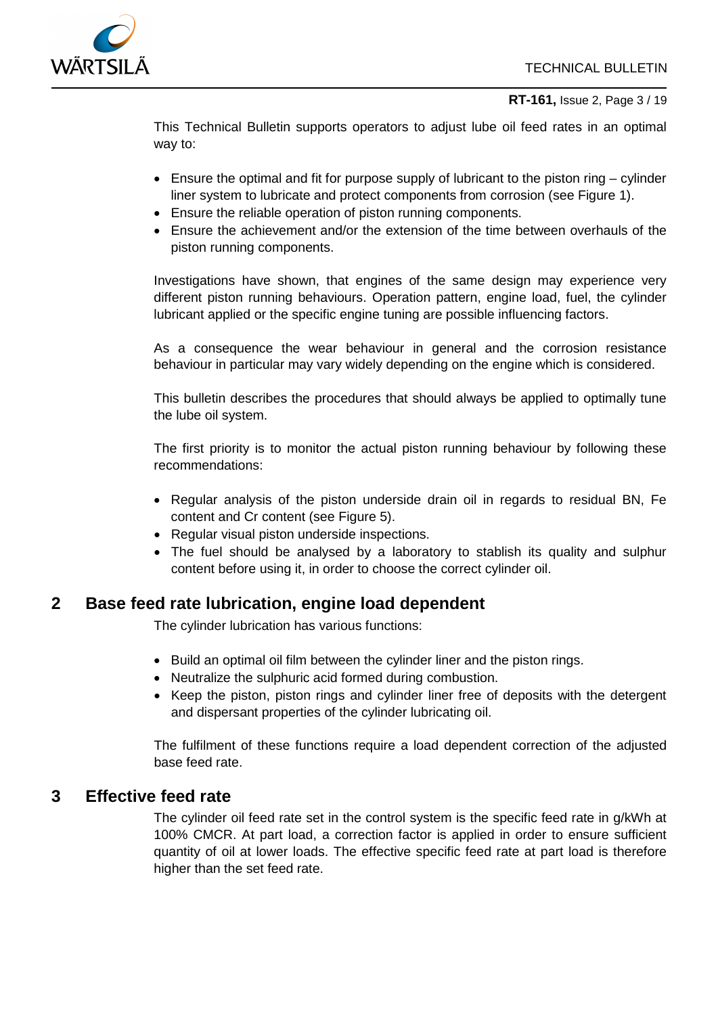

#### **[RT-161,](#page-0-0)** [Issue](#page-0-1) 2, Page 3 / 19

This Technical Bulletin supports operators to adjust lube oil feed rates in an optimal way to:

- Ensure the optimal and fit for purpose supply of lubricant to the piston ring cylinder liner system to lubricate and protect components from corrosion (see [Figure 1\)](#page-3-1).
- Ensure the reliable operation of piston running components.
- Ensure the achievement and/or the extension of the time between overhauls of the piston running components.

Investigations have shown, that engines of the same design may experience very different piston running behaviours. Operation pattern, engine load, fuel, the cylinder lubricant applied or the specific engine tuning are possible influencing factors.

As a consequence the wear behaviour in general and the corrosion resistance behaviour in particular may vary widely depending on the engine which is considered.

This bulletin describes the procedures that should always be applied to optimally tune the lube oil system.

The first priority is to monitor the actual piston running behaviour by following these recommendations:

- Regular analysis of the piston underside drain oil in regards to residual BN, Fe content and Cr content (see [Figure 5\)](#page-9-0).
- Regular visual piston underside inspections.
- The fuel should be analysed by a laboratory to stablish its quality and sulphur content before using it, in order to choose the correct cylinder oil.

## <span id="page-2-0"></span>**2 Base feed rate lubrication, engine load dependent**

The cylinder lubrication has various functions:

- Build an optimal oil film between the cylinder liner and the piston rings.
- Neutralize the sulphuric acid formed during combustion.
- Keep the piston, piston rings and cylinder liner free of deposits with the detergent and dispersant properties of the cylinder lubricating oil.

The fulfilment of these functions require a load dependent correction of the adjusted base feed rate.

## <span id="page-2-1"></span>**3 Effective feed rate**

The cylinder oil feed rate set in the control system is the specific feed rate in g/kWh at 100% CMCR. At part load, a correction factor is applied in order to ensure sufficient quantity of oil at lower loads. The effective specific feed rate at part load is therefore higher than the set feed rate.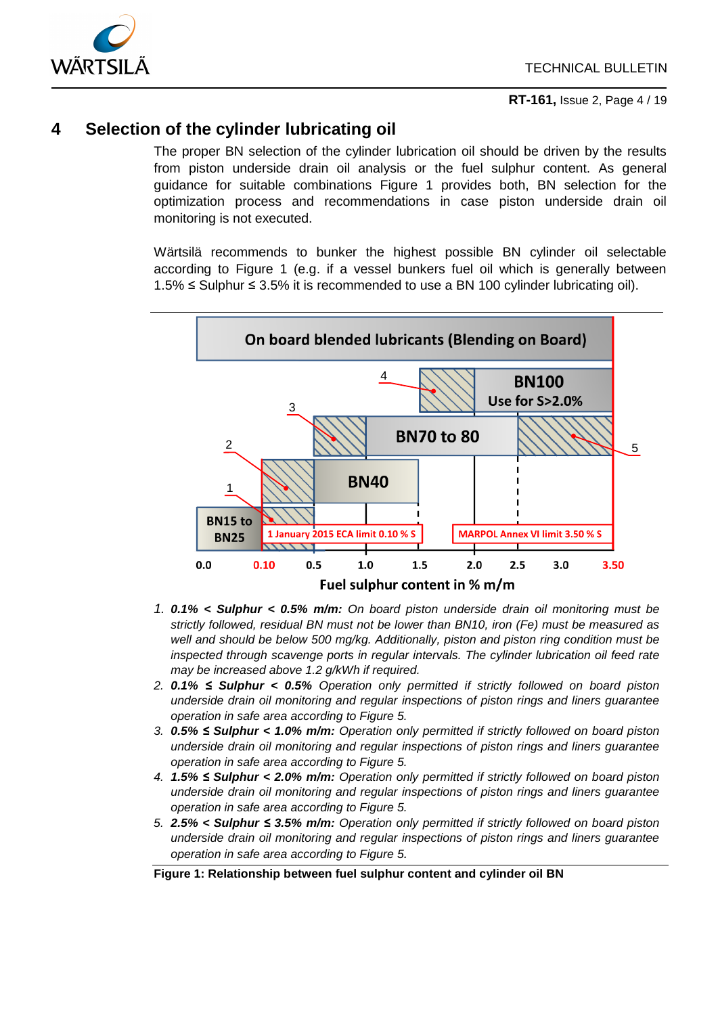

## <span id="page-3-0"></span>**4 Selection of the cylinder lubricating oil**

The proper BN selection of the cylinder lubrication oil should be driven by the results from piston underside drain oil analysis or the fuel sulphur content. As general guidance for suitable combinations [Figure 1](#page-3-1) provides both, BN selection for the optimization process and recommendations in case piston underside drain oil monitoring is not executed.

Wärtsilä recommends to bunker the highest possible BN cylinder oil selectable according to [Figure 1](#page-3-1) (e.g. if a vessel bunkers fuel oil which is generally between 1.5% ≤ Sulphur ≤ 3.5% it is recommended to use a BN 100 cylinder lubricating oil).



- *1. 0.1% < Sulphur < 0.5% m/m: On board piston underside drain oil monitoring must be strictly followed, residual BN must not be lower than BN10, iron (Fe) must be measured as well and should be below 500 mg/kg. Additionally, piston and piston ring condition must be inspected through scavenge ports in regular intervals. The cylinder lubrication oil feed rate may be increased above 1.2 g/kWh if required.*
- *2. 0.1% ≤ Sulphur < 0.5% Operation only permitted if strictly followed on board piston underside drain oil monitoring and regular inspections of piston rings and liners guarantee operation in safe area according to [Figure 5.](#page-9-0)*
- *3. 0.5% ≤ Sulphur < 1.0% m/m: Operation only permitted if strictly followed on board piston underside drain oil monitoring and regular inspections of piston rings and liners guarantee operation in safe area according to [Figure 5.](#page-9-0)*
- *4. 1.5% ≤ Sulphur < 2.0% m/m: Operation only permitted if strictly followed on board piston underside drain oil monitoring and regular inspections of piston rings and liners guarantee operation in safe area according to [Figure 5.](#page-9-0)*
- *5. 2.5% < Sulphur ≤ 3.5% m/m: Operation only permitted if strictly followed on board piston underside drain oil monitoring and regular inspections of piston rings and liners guarantee operation in safe area according to [Figure 5.](#page-9-0)*

#### <span id="page-3-1"></span>**Figure 1: Relationship between fuel sulphur content and cylinder oil BN**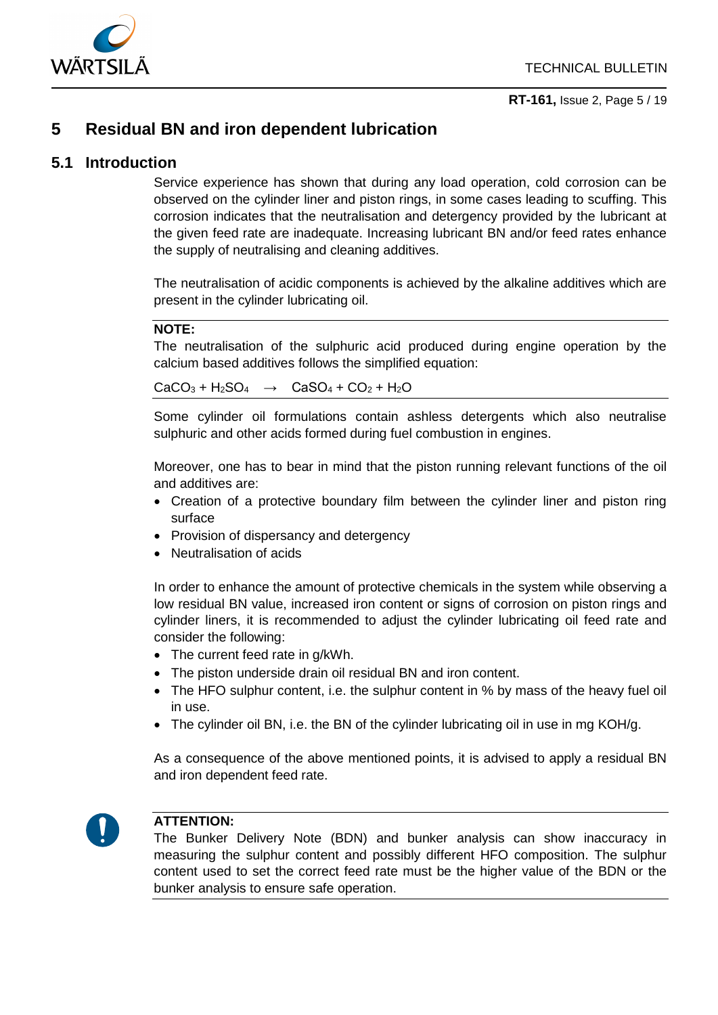

**[RT-161,](#page-0-0)** [Issue](#page-0-1) 2, Page 5 / 19

## <span id="page-4-0"></span>**5 Residual BN and iron dependent lubrication**

### **5.1 Introduction**

Service experience has shown that during any load operation, cold corrosion can be observed on the cylinder liner and piston rings, in some cases leading to scuffing. This corrosion indicates that the neutralisation and detergency provided by the lubricant at the given feed rate are inadequate. Increasing lubricant BN and/or feed rates enhance the supply of neutralising and cleaning additives.

The neutralisation of acidic components is achieved by the alkaline additives which are present in the cylinder lubricating oil.

#### **NOTE:**

The neutralisation of the sulphuric acid produced during engine operation by the calcium based additives follows the simplified equation:

 $CaCO<sub>3</sub> + H<sub>2</sub>SO<sub>4</sub> \rightarrow CaSO<sub>4</sub> + CO<sub>2</sub> + H<sub>2</sub>O$ 

Some cylinder oil formulations contain ashless detergents which also neutralise sulphuric and other acids formed during fuel combustion in engines.

Moreover, one has to bear in mind that the piston running relevant functions of the oil and additives are:

- Creation of a protective boundary film between the cylinder liner and piston ring surface
- Provision of dispersancy and detergency
- Neutralisation of acids

In order to enhance the amount of protective chemicals in the system while observing a low residual BN value, increased iron content or signs of corrosion on piston rings and cylinder liners, it is recommended to adjust the cylinder lubricating oil feed rate and consider the following:

- The current feed rate in g/kWh.
- The piston underside drain oil residual BN and iron content.
- The HFO sulphur content, i.e. the sulphur content in % by mass of the heavy fuel oil in use.
- The cylinder oil BN, i.e. the BN of the cylinder lubricating oil in use in mg KOH/g.

As a consequence of the above mentioned points, it is advised to apply a residual BN and iron dependent feed rate.



#### **ATTENTION:**

The Bunker Delivery Note (BDN) and bunker analysis can show inaccuracy in measuring the sulphur content and possibly different HFO composition. The sulphur content used to set the correct feed rate must be the higher value of the BDN or the bunker analysis to ensure safe operation.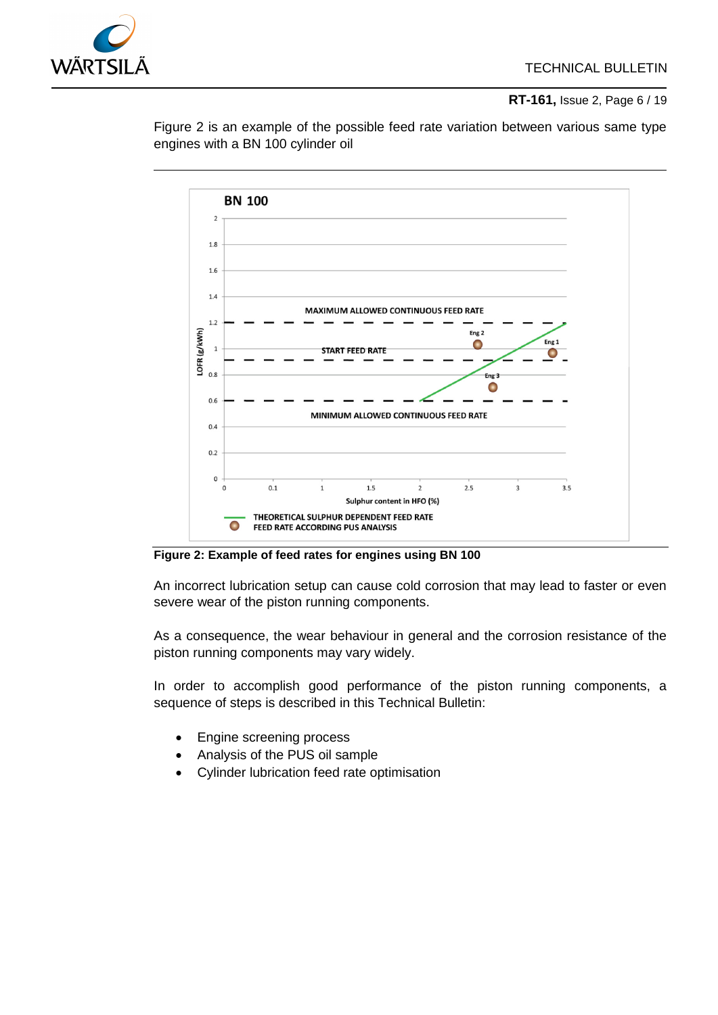

**[RT-161,](#page-0-0)** [Issue](#page-0-1) 2, Page 6 / 19



[Figure 2](#page-5-0) is an example of the possible feed rate variation between various same type engines with a BN 100 cylinder oil

<span id="page-5-0"></span>**Figure 2: Example of feed rates for engines using BN 100**

An incorrect lubrication setup can cause cold corrosion that may lead to faster or even severe wear of the piston running components.

As a consequence, the wear behaviour in general and the corrosion resistance of the piston running components may vary widely.

In order to accomplish good performance of the piston running components, a sequence of steps is described in this Technical Bulletin:

- Engine screening process
- Analysis of the PUS oil sample
- Cylinder lubrication feed rate optimisation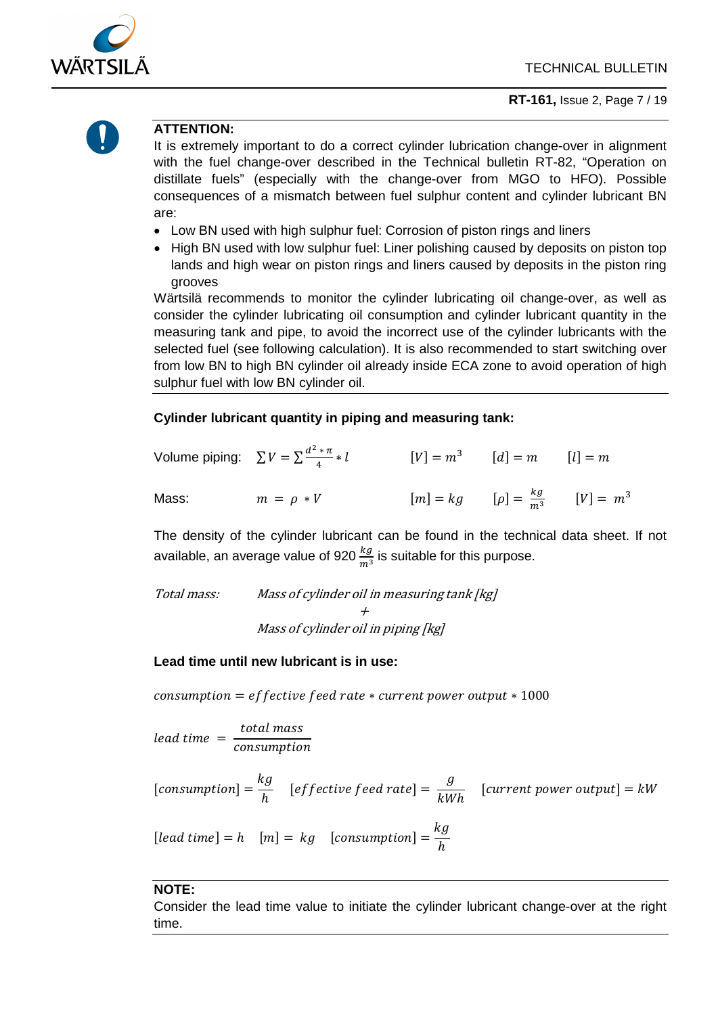



#### **ATTENTION:**

It is extremely important to do a correct cylinder lubrication change-over in alignment with the fuel change-over described in the Technical bulletin RT-82, "Operation on distillate fuels" (especially with the change-over from MGO to HFO). Possible consequences of a mismatch between fuel sulphur content and cylinder lubricant BN are:

- Low BN used with high sulphur fuel: Corrosion of piston rings and liners
- High BN used with low sulphur fuel: Liner polishing caused by deposits on piston top lands and high wear on piston rings and liners caused by deposits in the piston ring grooves

Wärtsilä recommends to monitor the cylinder lubricating oil change-over, as well as consider the cylinder lubricating oil consumption and cylinder lubricant quantity in the measuring tank and pipe, to avoid the incorrect use of the cylinder lubricants with the selected fuel (see following calculation). It is also recommended to start switching over from low BN to high BN cylinder oil already inside ECA zone to avoid operation of high sulphur fuel with low BN cylinder oil.

#### **Cylinder lubricant quantity in piping and measuring tank:**

|       | Volume piping: $\sum V = \sum \frac{d^2 * \pi}{4} * l$ | $[V] = m^3$ $[d] = m$ $[l] = m$                  |  |
|-------|--------------------------------------------------------|--------------------------------------------------|--|
| Mass: | $m = \rho * V$                                         | $[m] = kg$ $[\rho] = \frac{kg}{m^3}$ $[V] = m^3$ |  |

The density of the cylinder lubricant can be found in the technical data sheet. If not available, an average value of 920  $\frac{kg}{m^3}$  is suitable for this purpose.

Total mass: Mass of cylinder oil in measuring tank [kg] + Mass of cylinder oil in piping [kg]

#### **Lead time until new lubricant is in use:**

 $\cos$  consumption = effective feed rate  $*$  current power output  $*1000$ 

lead time  $=$   $\frac{total \, mass}{consumption}$ 

[consumption] =  $\frac{kg}{h}$  [effective feed rate] =  $\frac{g}{kWh}$  [current power output] = kW [lead time] =  $h$  [m] =  $kg$  [consumption] =  $\frac{kg}{h}$ 

#### **NOTE:**

Consider the lead time value to initiate the cylinder lubricant change-over at the right time.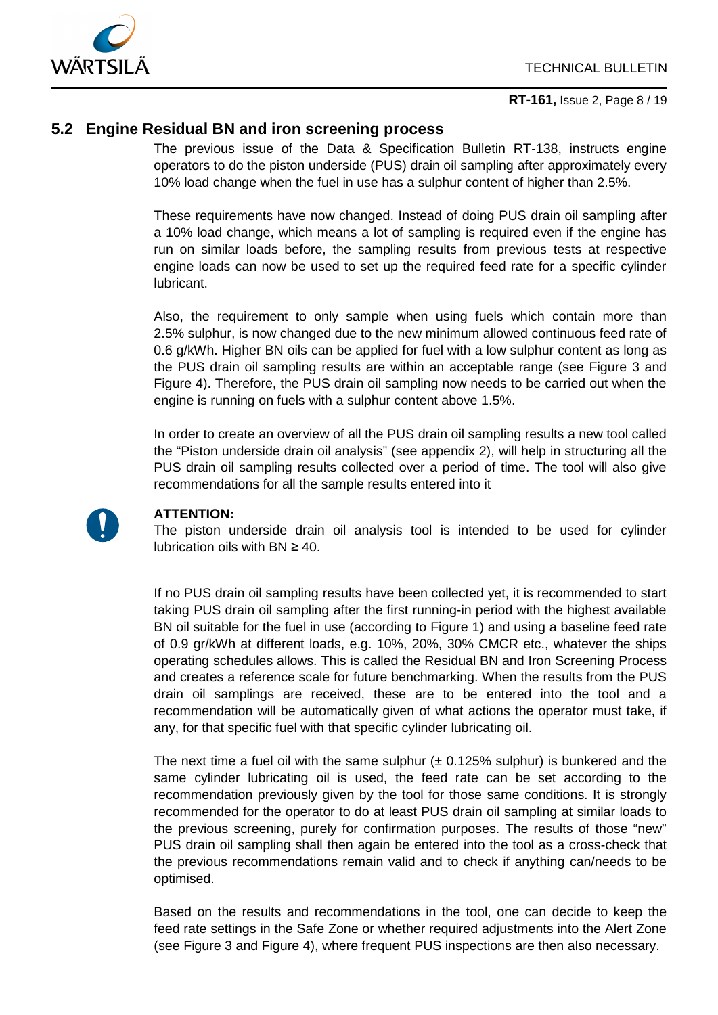

### <span id="page-7-0"></span>**5.2 Engine Residual BN and iron screening process**

The previous issue of the Data & Specification Bulletin RT-138, instructs engine operators to do the piston underside (PUS) drain oil sampling after approximately every 10% load change when the fuel in use has a sulphur content of higher than 2.5%.

These requirements have now changed. Instead of doing PUS drain oil sampling after a 10% load change, which means a lot of sampling is required even if the engine has run on similar loads before, the sampling results from previous tests at respective engine loads can now be used to set up the required feed rate for a specific cylinder lubricant.

Also, the requirement to only sample when using fuels which contain more than 2.5% sulphur, is now changed due to the new minimum allowed continuous feed rate of 0.6 g/kWh. Higher BN oils can be applied for fuel with a low sulphur content as long as the PUS drain oil sampling results are within an acceptable range (see [Figure 3](#page-8-0) and [Figure 4\)](#page-8-1). Therefore, the PUS drain oil sampling now needs to be carried out when the engine is running on fuels with a sulphur content above 1.5%.

In order to create an overview of all the PUS drain oil sampling results a new tool called the "Piston underside drain oil analysis" (see appendix [2\)](#page-16-1), will help in structuring all the PUS drain oil sampling results collected over a period of time. The tool will also give recommendations for all the sample results entered into it



#### **ATTENTION:**

The piston underside drain oil analysis tool is intended to be used for cylinder lubrication oils with  $BN \geq 40$ .

If no PUS drain oil sampling results have been collected yet, it is recommended to start taking PUS drain oil sampling after the first running-in period with the highest available BN oil suitable for the fuel in use (according to [Figure 1\)](#page-3-1) and using a baseline feed rate of 0.9 gr/kWh at different loads, e.g. 10%, 20%, 30% CMCR etc., whatever the ships operating schedules allows. This is called the Residual BN and Iron Screening Process and creates a reference scale for future benchmarking. When the results from the PUS drain oil samplings are received, these are to be entered into the tool and a recommendation will be automatically given of what actions the operator must take, if any, for that specific fuel with that specific cylinder lubricating oil.

The next time a fuel oil with the same sulphur  $(± 0.125\%$  sulphur) is bunkered and the same cylinder lubricating oil is used, the feed rate can be set according to the recommendation previously given by the tool for those same conditions. It is strongly recommended for the operator to do at least PUS drain oil sampling at similar loads to the previous screening, purely for confirmation purposes. The results of those "new" PUS drain oil sampling shall then again be entered into the tool as a cross-check that the previous recommendations remain valid and to check if anything can/needs to be optimised.

Based on the results and recommendations in the tool, one can decide to keep the feed rate settings in the Safe Zone or whether required adjustments into the Alert Zone (see [Figure 3](#page-8-0) and [Figure 4\)](#page-8-1), where frequent PUS inspections are then also necessary.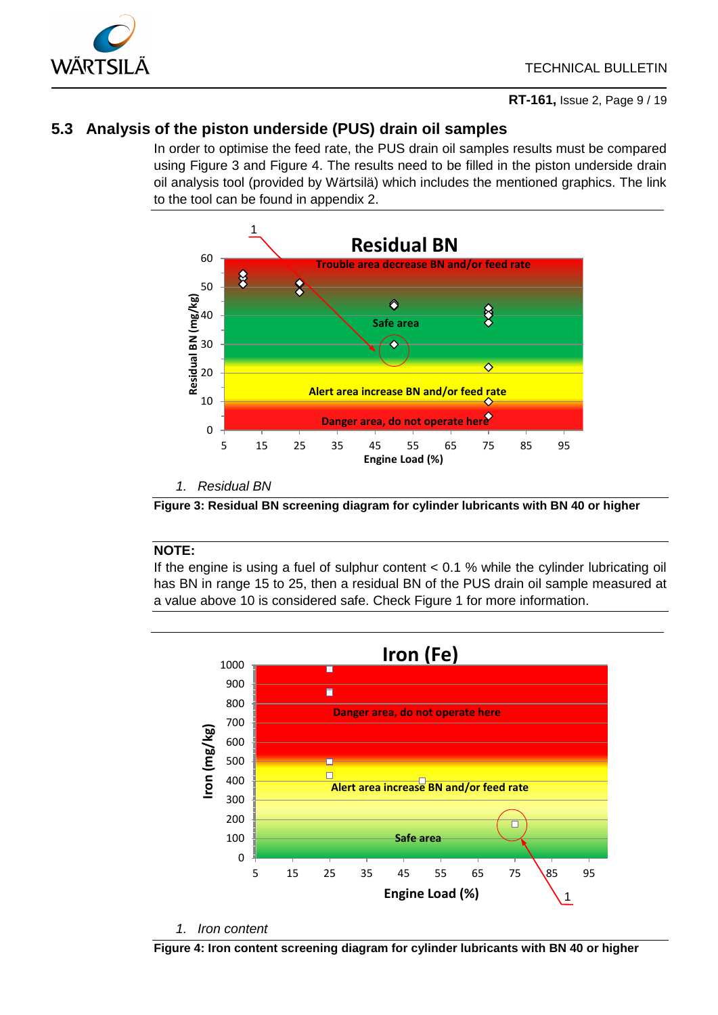

## <span id="page-8-2"></span>**5.3 Analysis of the piston underside (PUS) drain oil samples**

In order to optimise the feed rate, the PUS drain oil samples results must be compared using [Figure 3](#page-8-0) and [Figure 4.](#page-8-1) The results need to be filled in the piston underside drain oil analysis tool (provided by Wärtsilä) which includes the mentioned graphics. The link to the tool can be found in appendix [2.](#page-16-1)



*1. Residual BN*

<span id="page-8-0"></span>**Figure 3: Residual BN screening diagram for cylinder lubricants with BN 40 or higher**

#### **NOTE:**

If the engine is using a fuel of sulphur content < 0.1 % while the cylinder lubricating oil has BN in range 15 to 25, then a residual BN of the PUS drain oil sample measured at a value above 10 is considered safe. Check [Figure 1](#page-3-1) for more information.



*1. Iron content*

<span id="page-8-1"></span>**Figure 4: Iron content screening diagram for cylinder lubricants with BN 40 or higher**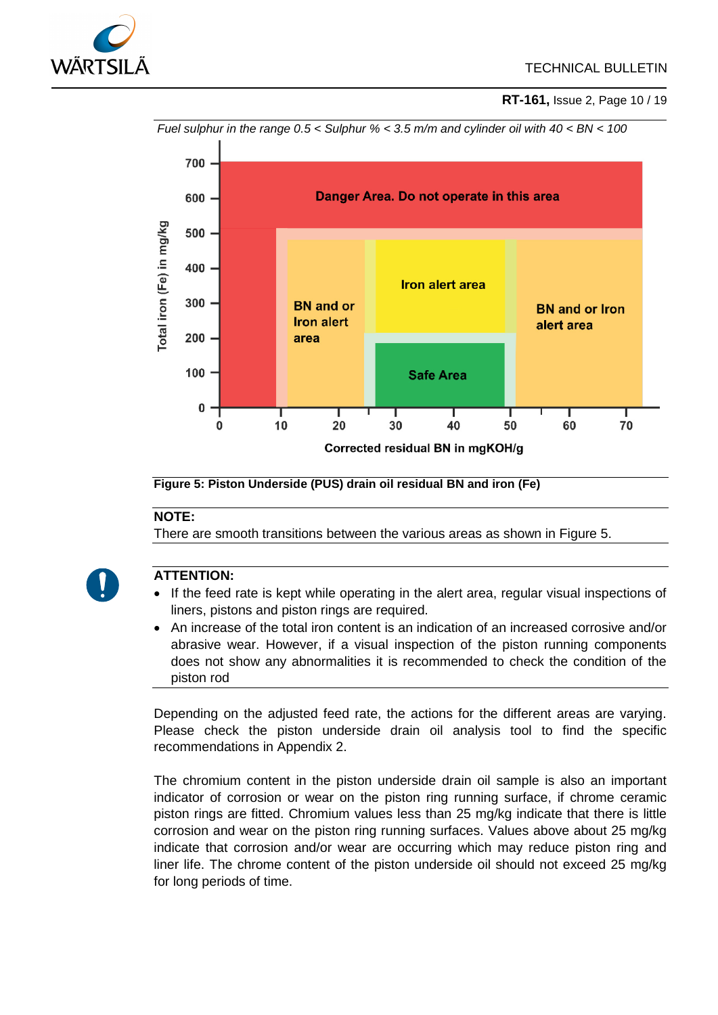

**[RT-161,](#page-0-0)** [Issue](#page-0-1) 2, Page 10 / 19



#### **Figure 5: Piston Underside (PUS) drain oil residual BN and iron (Fe)**

#### **NOTE:**

There are smooth transitions between the various areas as shown in [Figure 5.](#page-9-0)

<span id="page-9-0"></span>

#### **ATTENTION:**

- If the feed rate is kept while operating in the alert area, regular visual inspections of liners, pistons and piston rings are required.
- An increase of the total iron content is an indication of an increased corrosive and/or abrasive wear. However, if a visual inspection of the piston running components does not show any abnormalities it is recommended to check the condition of the piston rod

Depending on the adjusted feed rate, the actions for the different areas are varying. Please check the piston underside drain oil analysis tool to find the specific recommendations in Appendix [2.](#page-16-1)

The chromium content in the piston underside drain oil sample is also an important indicator of corrosion or wear on the piston ring running surface, if chrome ceramic piston rings are fitted. Chromium values less than 25 mg/kg indicate that there is little corrosion and wear on the piston ring running surfaces. Values above about 25 mg/kg indicate that corrosion and/or wear are occurring which may reduce piston ring and liner life. The chrome content of the piston underside oil should not exceed 25 mg/kg for long periods of time.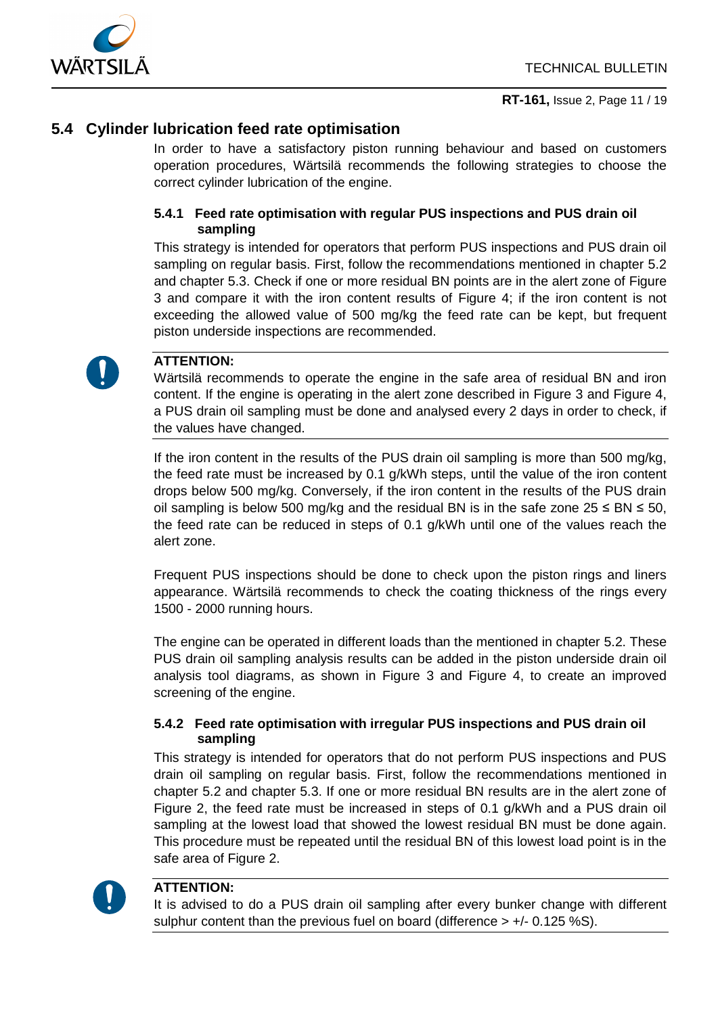

## **5.4 Cylinder lubrication feed rate optimisation**

In order to have a satisfactory piston running behaviour and based on customers operation procedures, Wärtsilä recommends the following strategies to choose the correct cylinder lubrication of the engine.

#### **5.4.1 Feed rate optimisation with regular PUS inspections and PUS drain oil sampling**

This strategy is intended for operators that perform PUS inspections and PUS drain oil sampling on regular basis. First, follow the recommendations mentioned in chapter [5.2](#page-7-0) and chapter [5.3.](#page-8-2) Check if one or more residual BN points are in the alert zone of [Figure](#page-8-0)  [3](#page-8-0) and compare it with the iron content results of [Figure 4;](#page-8-1) if the iron content is not exceeding the allowed value of 500 mg/kg the feed rate can be kept, but frequent piston underside inspections are recommended.



#### **ATTENTION:**

Wärtsilä recommends to operate the engine in the safe area of residual BN and iron content. If the engine is operating in the alert zone described in [Figure 3](#page-8-0) and [Figure 4,](#page-8-1) a PUS drain oil sampling must be done and analysed every 2 days in order to check, if the values have changed.

If the iron content in the results of the PUS drain oil sampling is more than 500 mg/kg, the feed rate must be increased by 0.1 g/kWh steps, until the value of the iron content drops below 500 mg/kg. Conversely, if the iron content in the results of the PUS drain oil sampling is below 500 mg/kg and the residual BN is in the safe zone  $25 \leq BN \leq 50$ , the feed rate can be reduced in steps of 0.1 g/kWh until one of the values reach the alert zone.

Frequent PUS inspections should be done to check upon the piston rings and liners appearance. Wärtsilä recommends to check the coating thickness of the rings every 1500 - 2000 running hours.

The engine can be operated in different loads than the mentioned in chapter [5.2.](#page-7-0) These PUS drain oil sampling analysis results can be added in the piston underside drain oil analysis tool diagrams, as shown in [Figure 3](#page-8-0) and [Figure 4,](#page-8-1) to create an improved screening of the engine.

#### **5.4.2 Feed rate optimisation with irregular PUS inspections and PUS drain oil sampling**

This strategy is intended for operators that do not perform PUS inspections and PUS drain oil sampling on regular basis. First, follow the recommendations mentioned in chapter [5.2](#page-7-0) and chapter [5.3.](#page-8-2) If one or more residual BN results are in the alert zone of [Figure 2,](#page-5-0) the feed rate must be increased in steps of 0.1 g/kWh and a PUS drain oil sampling at the lowest load that showed the lowest residual BN must be done again. This procedure must be repeated until the residual BN of this lowest load point is in the safe area of [Figure 2.](#page-5-0)



### **ATTENTION:**

It is advised to do a PUS drain oil sampling after every bunker change with different sulphur content than the previous fuel on board (difference  $> +/- 0.125$ %S).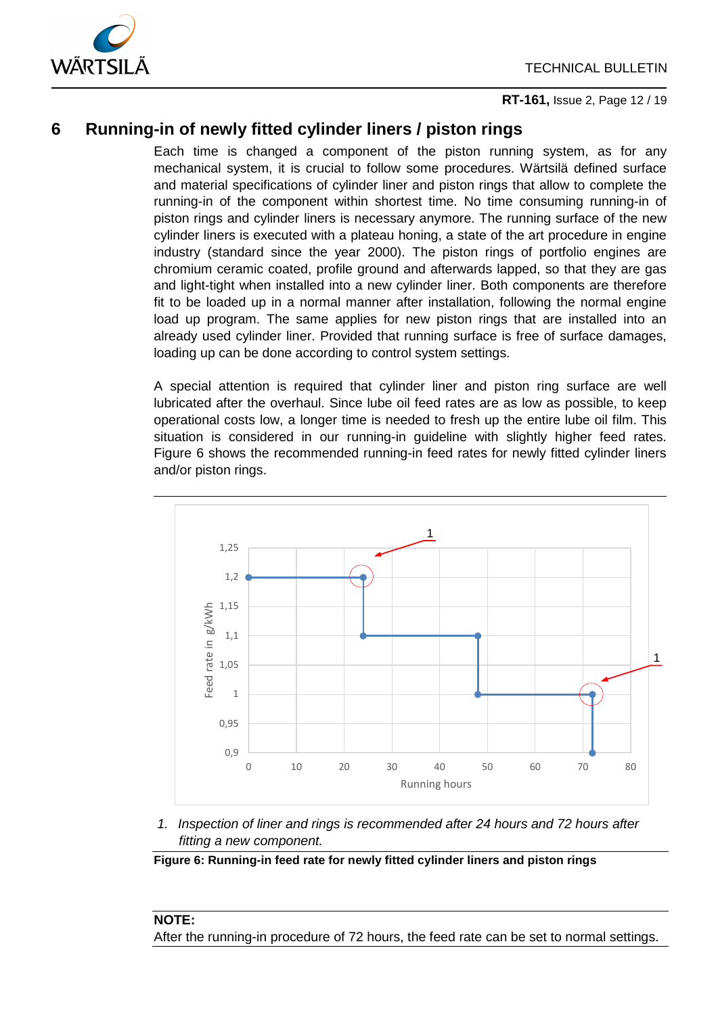



**[RT-161,](#page-0-0)** [Issue](#page-0-1) 2, Page 12 / 19

## <span id="page-11-0"></span>**6 Running-in of newly fitted cylinder liners / piston rings**

Each time is changed a component of the piston running system, as for any mechanical system, it is crucial to follow some procedures. Wärtsilä defined surface and material specifications of cylinder liner and piston rings that allow to complete the running-in of the component within shortest time. No time consuming running-in of piston rings and cylinder liners is necessary anymore. The running surface of the new cylinder liners is executed with a plateau honing, a state of the art procedure in engine industry (standard since the year 2000). The piston rings of portfolio engines are chromium ceramic coated, profile ground and afterwards lapped, so that they are gas and light-tight when installed into a new cylinder liner. Both components are therefore fit to be loaded up in a normal manner after installation, following the normal engine load up program. The same applies for new piston rings that are installed into an already used cylinder liner. Provided that running surface is free of surface damages, loading up can be done according to control system settings.

A special attention is required that cylinder liner and piston ring surface are well lubricated after the overhaul. Since lube oil feed rates are as low as possible, to keep operational costs low, a longer time is needed to fresh up the entire lube oil film. This situation is considered in our running-in guideline with slightly higher feed rates. [Figure 6](#page-11-1) shows the recommended running-in feed rates for newly fitted cylinder liners and/or piston rings.



*1. Inspection of liner and rings is recommended after 24 hours and 72 hours after fitting a new component.*

<span id="page-11-1"></span>**Figure 6: Running-in feed rate for newly fitted cylinder liners and piston rings**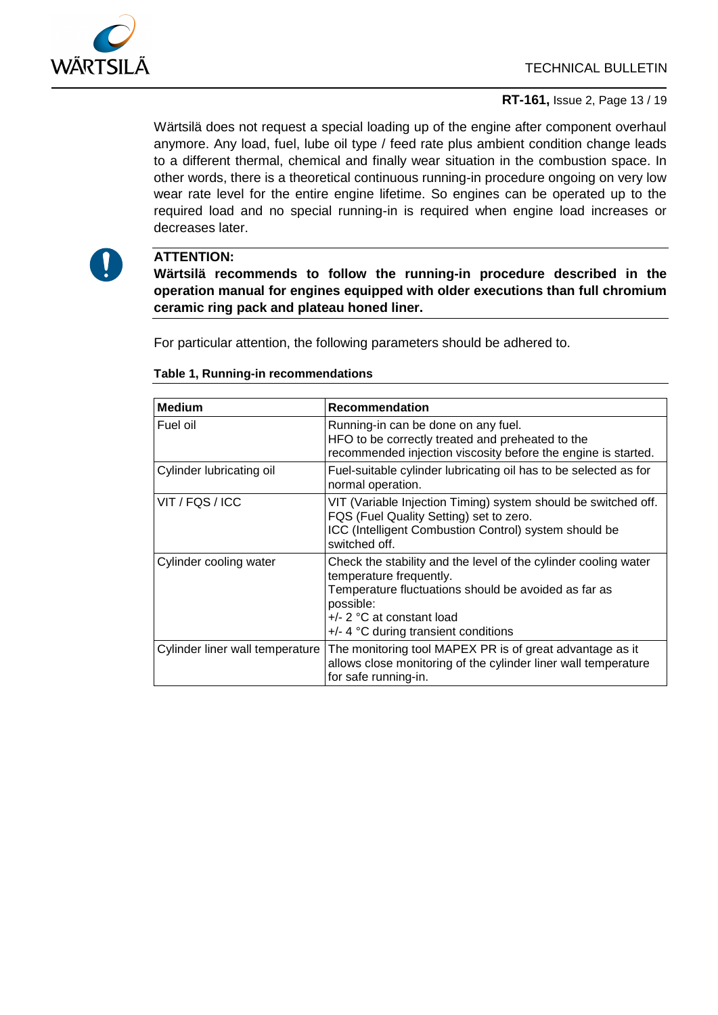

#### **[RT-161,](#page-0-0)** [Issue](#page-0-1) 2, Page 13 / 19

Wärtsilä does not request a special loading up of the engine after component overhaul anymore. Any load, fuel, lube oil type / feed rate plus ambient condition change leads to a different thermal, chemical and finally wear situation in the combustion space. In other words, there is a theoretical continuous running-in procedure ongoing on very low wear rate level for the entire engine lifetime. So engines can be operated up to the required load and no special running-in is required when engine load increases or decreases later.



#### **ATTENTION:**

**Wärtsilä recommends to follow the running-in procedure described in the operation manual for engines equipped with older executions than full chromium ceramic ring pack and plateau honed liner.**

For particular attention, the following parameters should be adhered to.

| <b>Medium</b>                   | Recommendation                                                                                                                                                                                                                           |
|---------------------------------|------------------------------------------------------------------------------------------------------------------------------------------------------------------------------------------------------------------------------------------|
| Fuel oil                        | Running-in can be done on any fuel.<br>HFO to be correctly treated and preheated to the<br>recommended injection viscosity before the engine is started.                                                                                 |
| Cylinder lubricating oil        | Fuel-suitable cylinder lubricating oil has to be selected as for<br>normal operation.                                                                                                                                                    |
| VIT / FQS / ICC                 | VIT (Variable Injection Timing) system should be switched off.<br>FQS (Fuel Quality Setting) set to zero.<br>ICC (Intelligent Combustion Control) system should be<br>switched off.                                                      |
| Cylinder cooling water          | Check the stability and the level of the cylinder cooling water<br>temperature frequently.<br>Temperature fluctuations should be avoided as far as<br>possible:<br>$+/- 2$ °C at constant load<br>$+/-$ 4 °C during transient conditions |
| Cylinder liner wall temperature | The monitoring tool MAPEX PR is of great advantage as it<br>allows close monitoring of the cylinder liner wall temperature<br>for safe running-in.                                                                                       |

#### **Table 1, Running-in recommendations**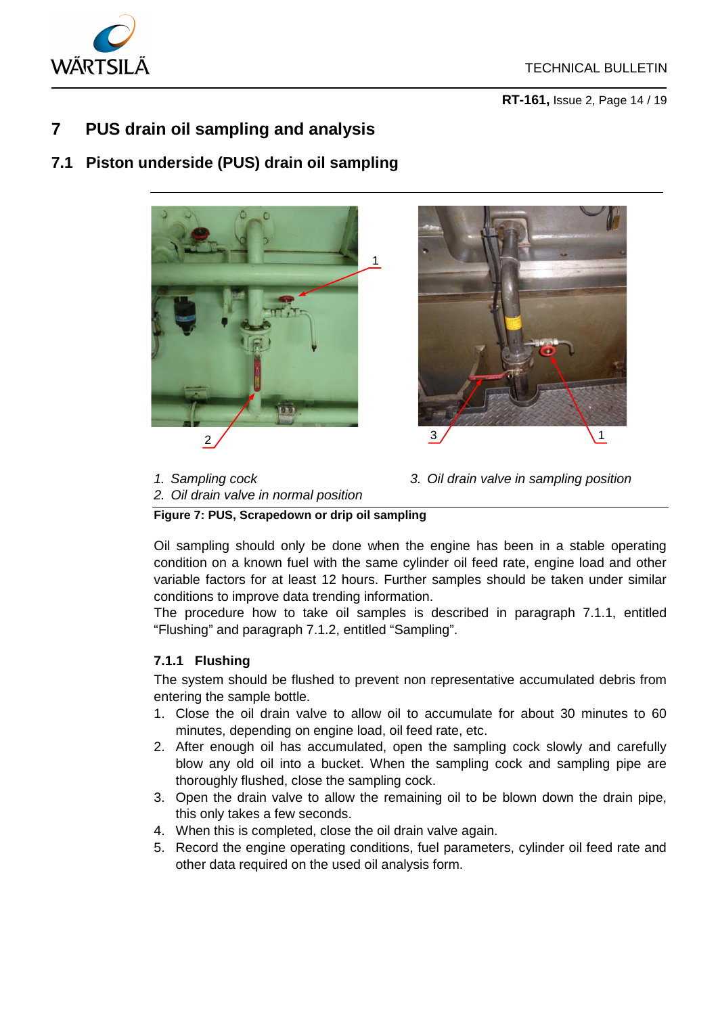

**[RT-161,](#page-0-0)** [Issue](#page-0-1) 2, Page 14 / 19

## <span id="page-13-0"></span>**7 PUS drain oil sampling and analysis**

## **7.1 Piston underside (PUS) drain oil sampling**





*1. Sampling cock*

- *3. Oil drain valve in sampling position*
- *2. Oil drain valve in normal position*

**Figure 7: PUS, Scrapedown or drip oil sampling** 

Oil sampling should only be done when the engine has been in a stable operating condition on a known fuel with the same cylinder oil feed rate, engine load and other variable factors for at least 12 hours. Further samples should be taken under similar conditions to improve data trending information.

The procedure how to take oil samples is described in paragraph [7.1.1,](#page-13-1) entitled "Flushing" and paragraph [7.1.2,](#page-14-0) entitled "Sampling".

## <span id="page-13-1"></span>**7.1.1 Flushing**

The system should be flushed to prevent non representative accumulated debris from entering the sample bottle.

- 1. Close the oil drain valve to allow oil to accumulate for about 30 minutes to 60 minutes, depending on engine load, oil feed rate, etc.
- 2. After enough oil has accumulated, open the sampling cock slowly and carefully blow any old oil into a bucket. When the sampling cock and sampling pipe are thoroughly flushed, close the sampling cock.
- 3. Open the drain valve to allow the remaining oil to be blown down the drain pipe, this only takes a few seconds.
- 4. When this is completed, close the oil drain valve again.
- 5. Record the engine operating conditions, fuel parameters, cylinder oil feed rate and other data required on the used oil analysis form.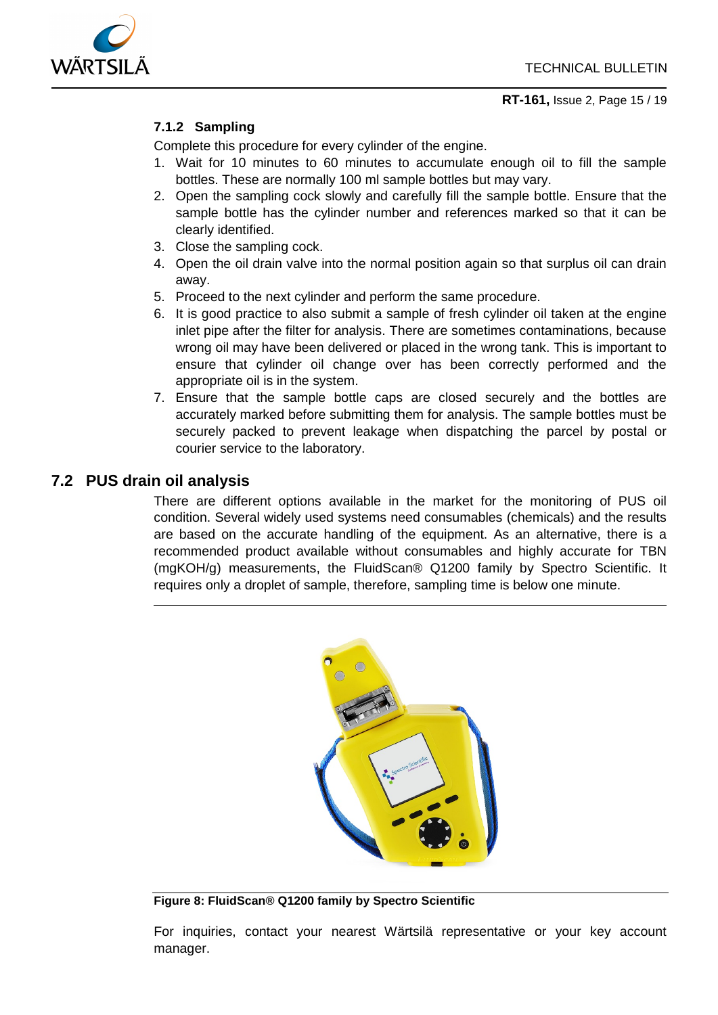

## **7.1.2 Sampling**

<span id="page-14-0"></span>Complete this procedure for every cylinder of the engine.

- 1. Wait for 10 minutes to 60 minutes to accumulate enough oil to fill the sample bottles. These are normally 100 ml sample bottles but may vary.
- 2. Open the sampling cock slowly and carefully fill the sample bottle. Ensure that the sample bottle has the cylinder number and references marked so that it can be clearly identified.
- 3. Close the sampling cock.
- 4. Open the oil drain valve into the normal position again so that surplus oil can drain away.
- 5. Proceed to the next cylinder and perform the same procedure.
- 6. It is good practice to also submit a sample of fresh cylinder oil taken at the engine inlet pipe after the filter for analysis. There are sometimes contaminations, because wrong oil may have been delivered or placed in the wrong tank. This is important to ensure that cylinder oil change over has been correctly performed and the appropriate oil is in the system.
- 7. Ensure that the sample bottle caps are closed securely and the bottles are accurately marked before submitting them for analysis. The sample bottles must be securely packed to prevent leakage when dispatching the parcel by postal or courier service to the laboratory.

## **7.2 PUS drain oil analysis**

There are different options available in the market for the monitoring of PUS oil condition. Several widely used systems need consumables (chemicals) and the results are based on the accurate handling of the equipment. As an alternative, there is a recommended product available without consumables and highly accurate for TBN (mgKOH/g) measurements, the FluidScan® Q1200 family by Spectro Scientific. It requires only a droplet of sample, therefore, sampling time is below one minute.



**Figure 8: FluidScan® Q1200 family by Spectro Scientific**

For inquiries, contact your nearest Wärtsilä representative or your key account manager.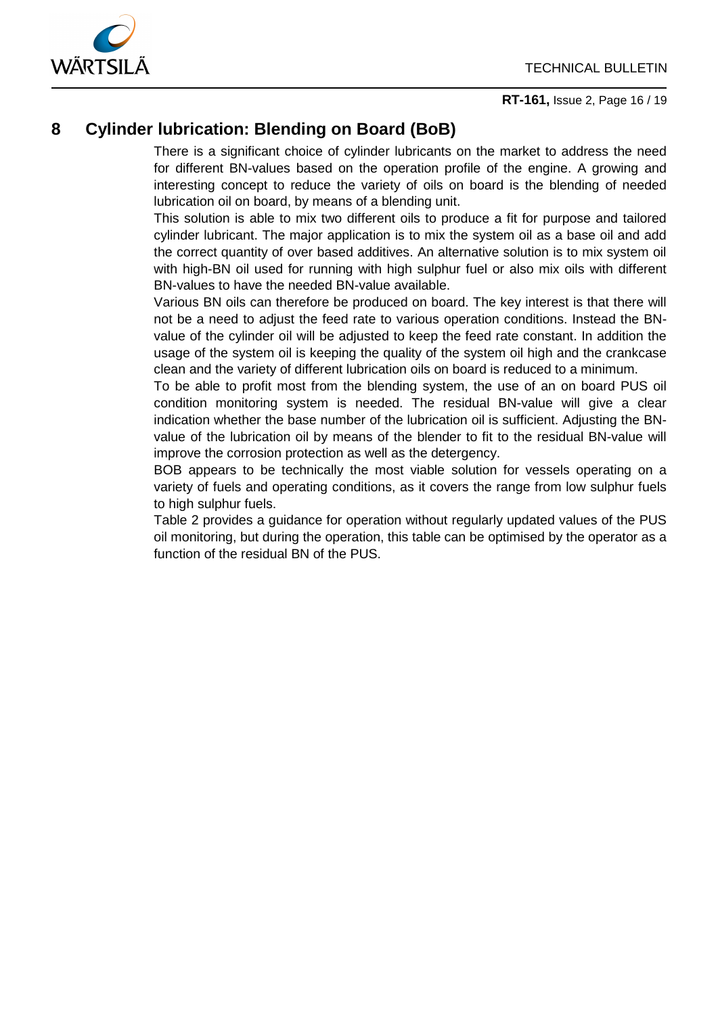

**[RT-161,](#page-0-0)** [Issue](#page-0-1) 2, Page 16 / 19

## <span id="page-15-0"></span>**8 Cylinder lubrication: Blending on Board (BoB)**

There is a significant choice of cylinder lubricants on the market to address the need for different BN-values based on the operation profile of the engine. A growing and interesting concept to reduce the variety of oils on board is the blending of needed lubrication oil on board, by means of a blending unit.

This solution is able to mix two different oils to produce a fit for purpose and tailored cylinder lubricant. The major application is to mix the system oil as a base oil and add the correct quantity of over based additives. An alternative solution is to mix system oil with high-BN oil used for running with high sulphur fuel or also mix oils with different BN-values to have the needed BN-value available.

Various BN oils can therefore be produced on board. The key interest is that there will not be a need to adjust the feed rate to various operation conditions. Instead the BNvalue of the cylinder oil will be adjusted to keep the feed rate constant. In addition the usage of the system oil is keeping the quality of the system oil high and the crankcase clean and the variety of different lubrication oils on board is reduced to a minimum.

To be able to profit most from the blending system, the use of an on board PUS oil condition monitoring system is needed. The residual BN-value will give a clear indication whether the base number of the lubrication oil is sufficient. Adjusting the BNvalue of the lubrication oil by means of the blender to fit to the residual BN-value will improve the corrosion protection as well as the detergency.

BOB appears to be technically the most viable solution for vessels operating on a variety of fuels and operating conditions, as it covers the range from low sulphur fuels to high sulphur fuels.

[Table 2](#page-16-2) provides a guidance for operation without regularly updated values of the PUS oil monitoring, but during the operation, this table can be optimised by the operator as a function of the residual BN of the PUS.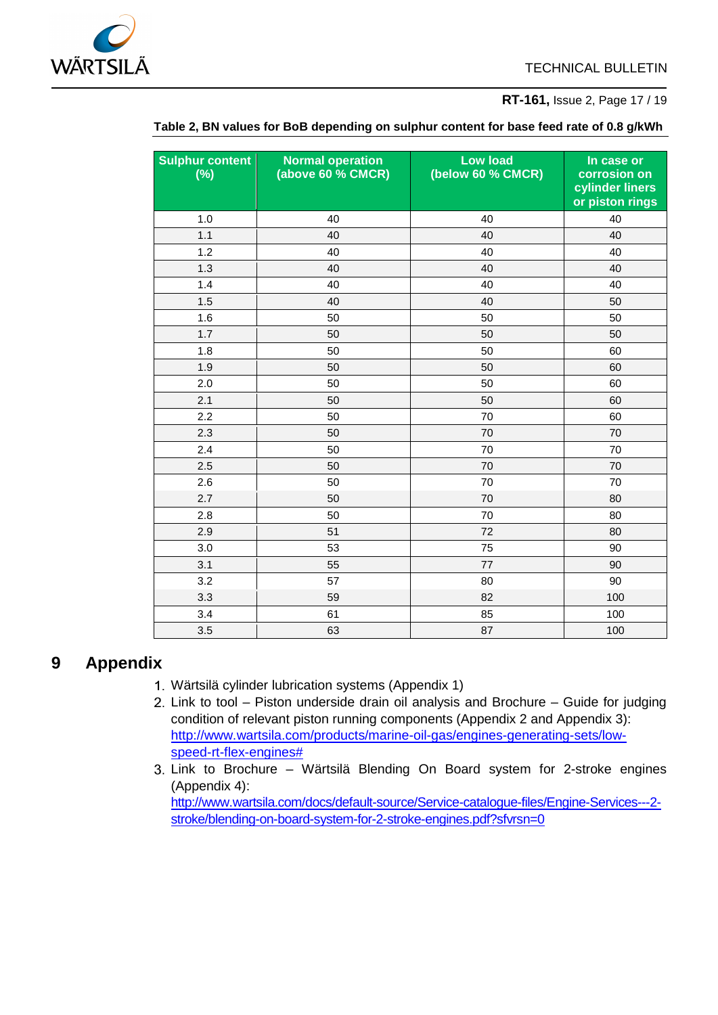

#### **[RT-161,](#page-0-0)** [Issue](#page-0-1) 2, Page 17 / 19

<span id="page-16-2"></span>

| <b>Sulphur content</b><br>$(\%)$ | <b>Normal operation</b><br>(above 60 % CMCR) | <b>Low load</b><br>(below 60 % CMCR) | In case or<br>corrosion on<br>cylinder liners<br>or piston rings |
|----------------------------------|----------------------------------------------|--------------------------------------|------------------------------------------------------------------|
| 1.0                              | 40                                           | 40                                   | 40                                                               |
| 1.1                              | 40                                           | 40                                   | 40                                                               |
| 1.2                              | 40                                           | 40                                   | 40                                                               |
| 1.3                              | 40                                           | 40                                   | 40                                                               |
| 1.4                              | 40                                           | 40                                   | 40                                                               |
| 1.5                              | 40                                           | 40                                   | 50                                                               |
| 1.6                              | 50                                           | 50                                   | 50                                                               |
| 1.7                              | 50                                           | 50                                   | 50                                                               |
| 1.8                              | 50                                           | 50                                   | 60                                                               |
| 1.9                              | 50                                           | 50                                   | 60                                                               |
| 2.0                              | 50                                           | 50                                   | 60                                                               |
| 2.1                              | 50                                           | 50                                   | 60                                                               |
| 2.2                              | 50                                           | 70                                   | 60                                                               |
| 2.3                              | 50                                           | 70                                   | 70                                                               |
| 2.4                              | 50                                           | 70                                   | 70                                                               |
| 2.5                              | 50                                           | 70                                   | 70                                                               |
| 2.6                              | 50                                           | 70                                   | 70                                                               |
| 2.7                              | 50                                           | 70                                   | 80                                                               |
| 2.8                              | 50                                           | 70                                   | 80                                                               |
| 2.9                              | 51                                           | 72                                   | 80                                                               |
| 3.0                              | 53                                           | 75                                   | 90                                                               |
| 3.1                              | 55                                           | 77                                   | 90                                                               |
| 3.2                              | 57                                           | 80                                   | 90                                                               |
| 3.3                              | 59                                           | 82                                   | 100                                                              |
| $3.4$                            | 61                                           | 85                                   | 100                                                              |
| 3.5                              | 63                                           | 87                                   | 100                                                              |

#### **Table 2, BN values for BoB depending on sulphur content for base feed rate of 0.8 g/kWh**

## <span id="page-16-1"></span><span id="page-16-0"></span>**9 Appendix**

- Wärtsilä cylinder lubrication systems (Appendix 1)
- Link to tool Piston underside drain oil analysis and Brochure Guide for judging condition of relevant piston running components (Appendix 2 and Appendix 3): [http://www.wartsila.com/products/marine-oil-gas/engines-generating-sets/low](http://www.wartsila.com/products/marine-oil-gas/engines-generating-sets/low-speed-rt-flex-engines)[speed-rt-flex-engines#](http://www.wartsila.com/products/marine-oil-gas/engines-generating-sets/low-speed-rt-flex-engines)
- 3. Link to Brochure Wärtsilä Blending On Board system for 2-stroke engines (Appendix 4): [http://www.wartsila.com/docs/default-source/Service-catalogue-files/Engine-Services---2](http://www.wartsila.com/docs/default-source/Service-catalogue-files/Engine-Services---2-stroke/blending-on-board-system-for-2-stroke-engines.pdf?sfvrsn=0) [stroke/blending-on-board-system-for-2-stroke-engines.pdf?sfvrsn=0](http://www.wartsila.com/docs/default-source/Service-catalogue-files/Engine-Services---2-stroke/blending-on-board-system-for-2-stroke-engines.pdf?sfvrsn=0)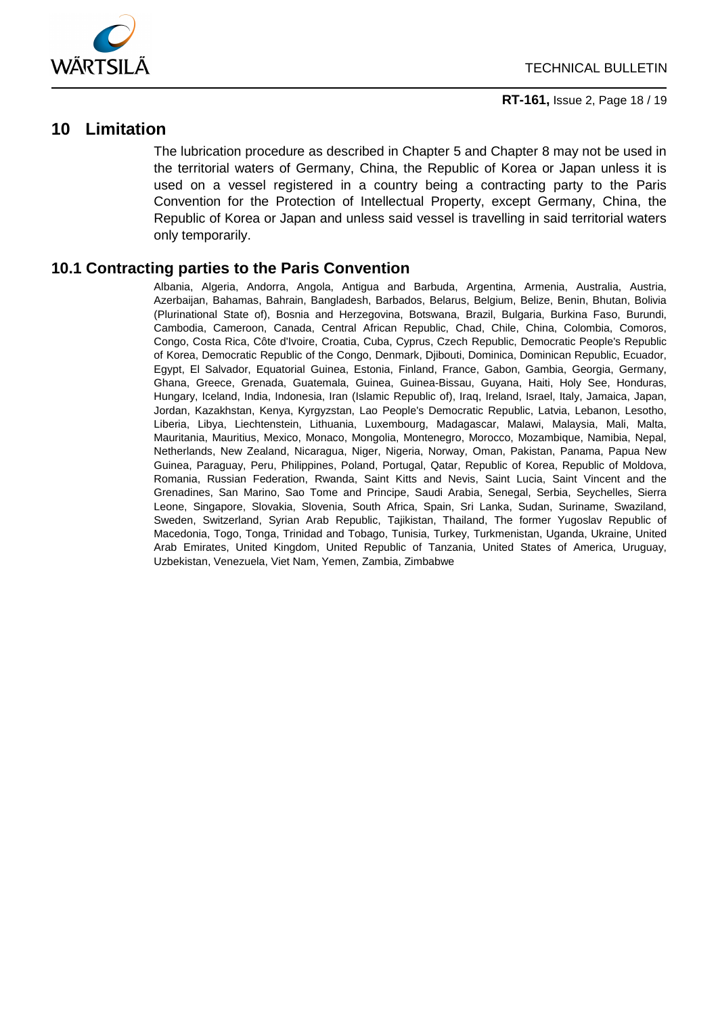

## <span id="page-17-0"></span>**10 Limitation**

The lubrication procedure as described in Chapter [5](#page-4-0) and Chapter [8](#page-15-0) may not be used in the territorial waters of Germany, China, the Republic of Korea or Japan unless it is used on a vessel registered in a country being a contracting party to the Paris Convention for the Protection of Intellectual Property, except Germany, China, the Republic of Korea or Japan and unless said vessel is travelling in said territorial waters only temporarily.

### **10.1 Contracting parties to the Paris Convention**

Albania, Algeria, Andorra, Angola, Antigua and Barbuda, Argentina, Armenia, Australia, Austria, Azerbaijan, Bahamas, Bahrain, Bangladesh, Barbados, Belarus, Belgium, Belize, Benin, Bhutan, Bolivia (Plurinational State of), Bosnia and Herzegovina, Botswana, Brazil, Bulgaria, Burkina Faso, Burundi, Cambodia, Cameroon, Canada, Central African Republic, Chad, Chile, China, Colombia, Comoros, Congo, Costa Rica, Côte d'Ivoire, Croatia, Cuba, Cyprus, Czech Republic, Democratic People's Republic of Korea, Democratic Republic of the Congo, Denmark, Djibouti, Dominica, Dominican Republic, Ecuador, Egypt, El Salvador, Equatorial Guinea, Estonia, Finland, France, Gabon, Gambia, Georgia, Germany, Ghana, Greece, Grenada, Guatemala, Guinea, Guinea-Bissau, Guyana, Haiti, Holy See, Honduras, Hungary, Iceland, India, Indonesia, Iran (Islamic Republic of), Iraq, Ireland, Israel, Italy, Jamaica, Japan, Jordan, Kazakhstan, Kenya, Kyrgyzstan, Lao People's Democratic Republic, Latvia, Lebanon, Lesotho, Liberia, Libya, Liechtenstein, Lithuania, Luxembourg, Madagascar, Malawi, Malaysia, Mali, Malta, Mauritania, Mauritius, Mexico, Monaco, Mongolia, Montenegro, Morocco, Mozambique, Namibia, Nepal, Netherlands, New Zealand, Nicaragua, Niger, Nigeria, Norway, Oman, Pakistan, Panama, Papua New Guinea, Paraguay, Peru, Philippines, Poland, Portugal, Qatar, Republic of Korea, Republic of Moldova, Romania, Russian Federation, Rwanda, Saint Kitts and Nevis, Saint Lucia, Saint Vincent and the Grenadines, San Marino, Sao Tome and Principe, Saudi Arabia, Senegal, Serbia, Seychelles, Sierra Leone, Singapore, Slovakia, Slovenia, South Africa, Spain, Sri Lanka, Sudan, Suriname, Swaziland, Sweden, Switzerland, Syrian Arab Republic, Tajikistan, Thailand, The former Yugoslav Republic of Macedonia, Togo, Tonga, Trinidad and Tobago, Tunisia, Turkey, Turkmenistan, Uganda, Ukraine, United Arab Emirates, United Kingdom, United Republic of Tanzania, United States of America, Uruguay, Uzbekistan, Venezuela, Viet Nam, Yemen, Zambia, Zimbabwe